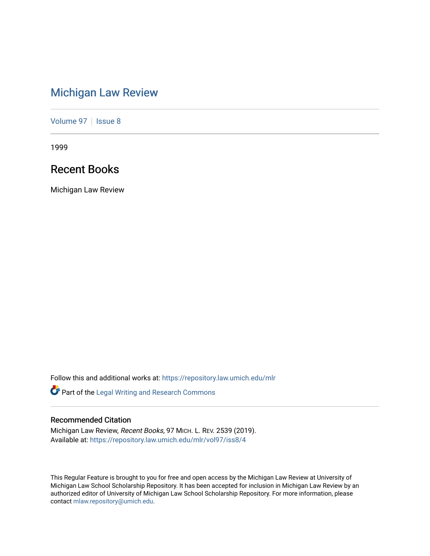# [Michigan Law Review](https://repository.law.umich.edu/mlr)

[Volume 97](https://repository.law.umich.edu/mlr/vol97) | [Issue 8](https://repository.law.umich.edu/mlr/vol97/iss8)

1999

# Recent Books

Michigan Law Review

Follow this and additional works at: [https://repository.law.umich.edu/mlr](https://repository.law.umich.edu/mlr?utm_source=repository.law.umich.edu%2Fmlr%2Fvol97%2Fiss8%2F4&utm_medium=PDF&utm_campaign=PDFCoverPages) 

Part of the [Legal Writing and Research Commons](http://network.bepress.com/hgg/discipline/614?utm_source=repository.law.umich.edu%2Fmlr%2Fvol97%2Fiss8%2F4&utm_medium=PDF&utm_campaign=PDFCoverPages) 

# Recommended Citation

Michigan Law Review, Recent Books, 97 MICH. L. REV. 2539 (2019). Available at: [https://repository.law.umich.edu/mlr/vol97/iss8/4](https://repository.law.umich.edu/mlr/vol97/iss8/4?utm_source=repository.law.umich.edu%2Fmlr%2Fvol97%2Fiss8%2F4&utm_medium=PDF&utm_campaign=PDFCoverPages)

This Regular Feature is brought to you for free and open access by the Michigan Law Review at University of Michigan Law School Scholarship Repository. It has been accepted for inclusion in Michigan Law Review by an authorized editor of University of Michigan Law School Scholarship Repository. For more information, please contact [mlaw.repository@umich.edu](mailto:mlaw.repository@umich.edu).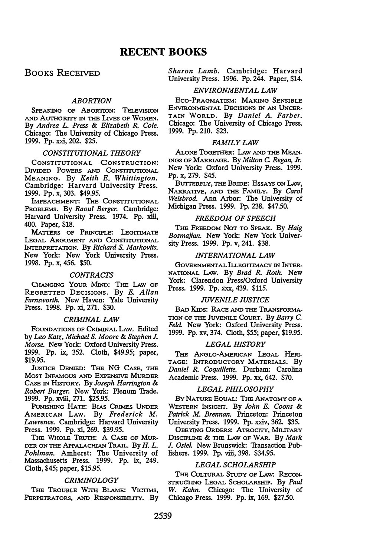BOOKS RECEIVED

# **ABORTION**

SPEAKING OF ABORTION: TELEVISION AND AUTHORITY IN THE LIVES OF WOMEN. By Andrea L. Press & Elizabeth R. Cole. Chicago: The University of Chicago Press. 1999. Pp. xxi, 202. \$25.

### CONSTITUTIONAL THEORY

CONSTITUTIONAL CONSTRUCTION: DIVIDED POWERS AND CONSTITUTIONAL MEANING. By Keith E. Whittington. Cambridge: Harvard University Press. 1999. Pp. x, 303. \$49.95.

IMPEACHMENT: THE CONSTITUTIONAL PROBLEMS. By Raoul Berger. Cambridge: Harvard University Press. 1974. Pp. xiii, 400. Paper, \$18.

MATTERS OF PRINCIPLE: LEGITIMATE LEGAL ARGUMENT AND CoNSTITUTIONAL INTERPRETATION. By Richard S. Markovits. New York: New York University Press. 1998. Pp. x, 456. \$50.

#### CONTRACTS

CHANGING YoUR MIND: THE LAW OF REGRETTED DECISIONS. By *E. Allan* Farnsworth. New Haven: Yale University Press. 1998. Pp. xi, 271. \$30.

#### CRIMINAL LAW

FOUNDATIONS OF CRIMINAL LAW. Edited by Leo Katz, Michael S. Moore & Stephen J. Morse. New York: Oxford University Press. 1999. Pp. ix, 352. Cloth, \$49.95; paper, \$19.95.

JUSTICE DENIED: THE NG CASE, THE MOST INFAMOUS AND EXPENSIVE MURDER CASE IN HISTORY. By Joseph Harrington & Robert Burger. New York: Plenum Trade. 1999. Pp. xviii, 271. \$25.95.

PuNrsHING HATE: BIAS CRrMEs UNDER AMERICAN LAW. By Frederick M. Lawrence. Cambridge: Harvard University Press. 1999. Pp. xi, 269. \$39.95.

THE WHOLE TRUTH: A CASE OF MUR-DER ON THE APPALACHIAN TRAIL. By H. L. Pohlman. Amherst: The University of<br>Massachusetts Press. 1999. Pp. ix, 249. Cloth, \$45; paper, \$15.95.

#### **CRIMINOLOGY**

THE TROUBLE WITH BLAME: VICTIMS, PERPETRATORS, AND RESPONSIBILITY. By Sharon Lamb. Cambridge: Harvard University Press. 1996. Pp. 244. Paper, \$14.

# ENVIRONMENTAL LAW

Eco-PRAGMATISM: MAKING SENSIBLE ENVIRONMENTAL DECISIONS IN AN UNCER-TAIN WORLD. By Daniel A. Farber. Chicago: The University of Chicago Press. 1999. Pp. 210. \$23.

### FAMILY LAW

ALONE TOGETHER: LAW AND THE MEAN-INGS OF MARRIAGE. By Milton C. Regan, Jr. New York: Oxford University Press. 1999. Pp. x, 279. \$45.

BUTTERFLY, THE BRIDE: ESSAYS ON LAW, NARRATIVE, AND THE FAMILY. By Carol Weisbrod. Ann Arbor: The University of Michigan Press. 1999. Pp. 238. \$47.50.

# FREEDOM OF SPEECH

THE FREEDOM NOT TO SPEAK. By Haig Bosmajian. New York: New York University Press. 1999. Pp. v, 241. \$38.

#### INTERNATIONAL LAW

GOVERNMENTAL ILLEGITIMACY IN INTER-NATIONAL LAW. By Brad R. Roth. New York: Clarendon Press/Oxford University Press. 1999. Pp. xxx, 439. \$115.

# JUVENILE JUSTICE

BAD KIDS: RACE AND THE TRANSFORMA-TION OF THE JUVENILE CoURT. By Barry C. Feld. New York: Oxford University Press. 1999. Pp. xv, 374. Cloth, \$55; paper, \$19.95.

#### LEGAL HISTORY

THE ANGLO-AMERICAN LEGAL HERI-TAGE: INTRODUCTORY MATERIALS. By Daniel R. Coquillette. Durham: Carolina Academic Press. 1999. Pp. xx, 642. \$70.

# LEGAL PHILOSOPHY

BY NATURE EQUAL: THE ANATOMY OF A WESTERN INSIGHT. By John E. Coons & Patrick M. Brennan. Princeton: Princeton University Press. 1999. Pp. xxiv, 362. \$35.

OBEYING ORDERS: ATROCITY, MILITARY DISCIPLINE & THE LAW OF WAR. By Mark J. Osiel. New Brunswick: Transaction Publishers. 1999. Pp. viii, 398. \$34.95.

# LEGAL SCHOLARSHIP

THE CULTURAL STUDY OF LAW: RECON-STRUCTING LEGAL SCHOLARSHIP. By Paul W. Kahn. Chicago: The University of Chicago Press. 1999. Pp. ix, 169. \$27.50.